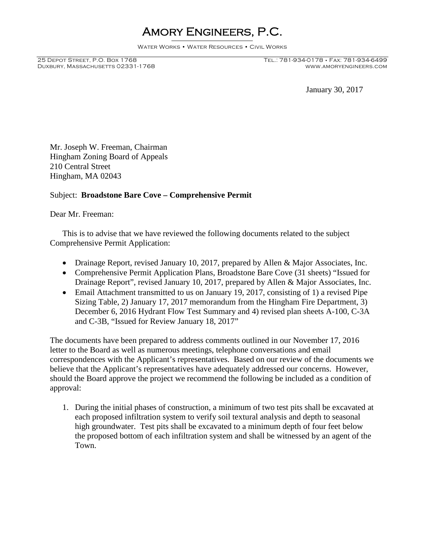## Amory Engineers, P.C.

Water Works • Water Resources • Civil Works

DUXBURY, MASSACHUSETTS 02331-1768

25 Depot Street, P.O. Box 1768 Tel.: 781-934-0178 • Fax: 781-934-6499

January 30, 2017

Mr. Joseph W. Freeman, Chairman Hingham Zoning Board of Appeals 210 Central Street Hingham, MA 02043

## Subject: **Broadstone Bare Cove – Comprehensive Permit**

Dear Mr. Freeman:

This is to advise that we have reviewed the following documents related to the subject Comprehensive Permit Application:

- Drainage Report, revised January 10, 2017, prepared by Allen & Major Associates, Inc.
- Comprehensive Permit Application Plans, Broadstone Bare Cove (31 sheets) "Issued for Drainage Report", revised January 10, 2017, prepared by Allen & Major Associates, Inc.
- Email Attachment transmitted to us on January 19, 2017, consisting of 1) a revised Pipe Sizing Table, 2) January 17, 2017 memorandum from the Hingham Fire Department, 3) December 6, 2016 Hydrant Flow Test Summary and 4) revised plan sheets A-100, C-3A and C-3B, "Issued for Review January 18, 2017"

The documents have been prepared to address comments outlined in our November 17, 2016 letter to the Board as well as numerous meetings, telephone conversations and email correspondences with the Applicant's representatives. Based on our review of the documents we believe that the Applicant's representatives have adequately addressed our concerns. However, should the Board approve the project we recommend the following be included as a condition of approval:

1. During the initial phases of construction, a minimum of two test pits shall be excavated at each proposed infiltration system to verify soil textural analysis and depth to seasonal high groundwater. Test pits shall be excavated to a minimum depth of four feet below the proposed bottom of each infiltration system and shall be witnessed by an agent of the Town.